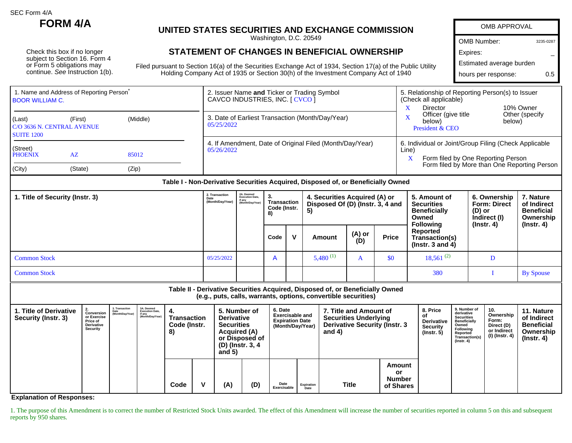SEC Form 4/A

Check this box if no longer subject to Section 16. Form 4 or Form 5 obligations may continue. See Instruction 1(b).

## **FORM 4/A UNITED STATES SECURITIES AND EXCHANGE COMMISSION**

Washington, D.C. 20549

## **STATEMENT OF CHANGES IN BENEFICIAL OWNERSHIP**

Filed pursuant to Section 16(a) of the Securities Exchange Act of 1934, Section 17(a) of the Public Utility Holding Company Act of 1935 or Section 30(h) of the Investment Company Act of 1940

| <b>OMB APPROVAL</b>      |           |  |  |  |  |  |  |  |  |  |
|--------------------------|-----------|--|--|--|--|--|--|--|--|--|
| <b>OMB Number:</b>       | 3235-0287 |  |  |  |  |  |  |  |  |  |
| Expires:                 |           |  |  |  |  |  |  |  |  |  |
| Estimated average burden |           |  |  |  |  |  |  |  |  |  |
| hours per response:      | በ 5       |  |  |  |  |  |  |  |  |  |

| <b>BOOR WILLIAM C.</b>                                                           | 1. Name and Address of Reporting Person <sup>®</sup> |       | 2. Issuer Name and Ticker or Trading Symbol<br>CAVCO INDUSTRIES, INC. [ CVCO ] | 5. Relationship of Reporting Person(s) to Issuer<br>(Check all applicable)                                |  |  |  |  |
|----------------------------------------------------------------------------------|------------------------------------------------------|-------|--------------------------------------------------------------------------------|-----------------------------------------------------------------------------------------------------------|--|--|--|--|
| (Last)<br>(Middle)<br>(First)<br>C/O 3636 N. CENTRAL AVENUE<br><b>SUITE 1200</b> |                                                      |       | 3. Date of Earliest Transaction (Month/Day/Year)<br>05/25/2022                 | 10% Owner<br>Director<br>Other (specify<br>Officer (give title<br>below)<br>below)<br>President & CEO     |  |  |  |  |
| (Street)<br><b>PHOENIX</b>                                                       | AZ<br>85012                                          |       | 4. If Amendment, Date of Original Filed (Month/Day/Year)<br>05/26/2022         | 6. Individual or Joint/Group Filing (Check Applicable<br>Line)<br>Form filed by One Reporting Person<br>X |  |  |  |  |
| (City)                                                                           | (State)                                              | (Zip) |                                                                                | Form filed by More than One Reporting Person                                                              |  |  |  |  |

| 2. Transaction<br>1. Title of Security (Instr. 3)<br>(Month/Day/Year) |            | 2A. Deemed<br>Execution Date,<br>if any<br>(Month/Day/Year) | З.<br>Transaction<br>Code (Instr.<br>8) |  | 4. Securities Acquired (A) or<br>Disposed Of (D) (Instr. 3, 4 and<br>5) |               |              | 5. Amount of<br><b>Securities</b><br><b>Beneficially</b><br>Owned<br><b>Following</b> | 6. Ownership<br><b>Form: Direct</b><br>(D) or<br>Indirect (I)<br>$($ lnstr. 4 $)$ | 7. Nature<br>of Indirect<br><b>Beneficial</b><br>Ownership<br>(Instr. 4) |
|-----------------------------------------------------------------------|------------|-------------------------------------------------------------|-----------------------------------------|--|-------------------------------------------------------------------------|---------------|--------------|---------------------------------------------------------------------------------------|-----------------------------------------------------------------------------------|--------------------------------------------------------------------------|
|                                                                       |            |                                                             | Code                                    |  | Amount                                                                  | (A) or<br>(D) | <b>Price</b> | Reported<br>Transaction(s)<br>( $Instr. 3 and 4$ )                                    |                                                                                   |                                                                          |
| <b>Common Stock</b>                                                   | 05/25/2022 |                                                             | $\overline{A}$                          |  | $5,480^{(1)}$                                                           | A             | \$0          | $18,561^{(2)}$                                                                        |                                                                                   |                                                                          |
| <b>Common Stock</b>                                                   |            |                                                             |                                         |  |                                                                         |               |              | 380                                                                                   |                                                                                   | <b>By Spouse</b>                                                         |

**Table II - Derivative Securities Acquired, Disposed of, or Beneficially Owned (e.g., puts, calls, warrants, options, convertible securities)**

| 1. Title of Derivative<br>Security (Instr. 3) | Conversion<br>or Exercise<br><b>Price of</b><br><b>Derivative</b><br>Security | 3. Transaction<br>Date<br>(Month/Day/Year) | 3A. Deemed<br>Execution Date,<br>if any<br>(Month/Day/Year) | <b>Transaction</b><br>Code (Instr.<br>8) |   | 5. Number of<br><b>Derivative</b><br><b>Securities</b><br><b>Acquired (A)</b><br>or Disposed of<br>(D) (Instr. 3, 4<br>and $5)$ |     | 6. Date<br><b>Exercisable and</b><br><b>Expiration Date</b><br>(Month/Day/Year) |            | 7. Title and Amount of<br><b>Securities Underlying</b><br><b>Derivative Security (Instr. 3</b><br>and $4)$ |                                            | 8. Price<br>0t<br>Derivative<br><b>Security</b><br>$($ Instr. 5 $)$ | 9. Number of<br>derivative<br><b>Securities</b><br><b>Beneficially</b><br>Owned<br>Following<br>Reported<br>Transaction(s)<br>$($ lnstr. 4 $)$ | 10.<br>Ownership<br>Form:<br>Direct (D)<br>or Indirect<br>(I) (Instr. 4) | 11. Nature<br>of Indirect<br><b>Beneficial</b><br>Ownership<br>(Instr. 4) |
|-----------------------------------------------|-------------------------------------------------------------------------------|--------------------------------------------|-------------------------------------------------------------|------------------------------------------|---|---------------------------------------------------------------------------------------------------------------------------------|-----|---------------------------------------------------------------------------------|------------|------------------------------------------------------------------------------------------------------------|--------------------------------------------|---------------------------------------------------------------------|------------------------------------------------------------------------------------------------------------------------------------------------|--------------------------------------------------------------------------|---------------------------------------------------------------------------|
|                                               |                                                                               |                                            |                                                             | Code                                     | v | (A)                                                                                                                             | (D) | Date<br>Exercisable                                                             | Expiration | Title                                                                                                      | Amount<br>or<br><b>Number</b><br>of Shares |                                                                     |                                                                                                                                                |                                                                          |                                                                           |

**Explanation of Responses:**

1. The purpose of this Amendment is to correct the number of Restricted Stock Units awarded. The effect of this Amendment will increase the number of securities reported in column 5 on this and subsequent reports by 950 shares.